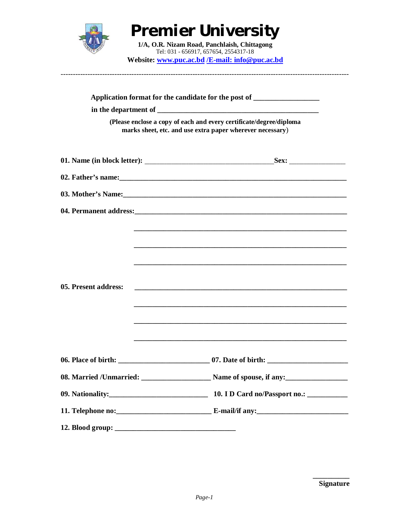

## **Premier University**

**1/A, O.R. Nizam Road, Panchlaish, Chittagong** Tel: 031 - 656917, 657654, 2554317-18 **Website: www.puc.ac.bd /E-mail: info@puc.ac.bd**

----------------------------------------------------------------------------------------------------------------------

| (Please enclose a copy of each and every certificate/degree/diploma<br>marks sheet, etc. and use extra paper wherever necessary) |                                                                                                                                                                                                                                                                                                                                                                                                                                                                                                                                                                                                                            |
|----------------------------------------------------------------------------------------------------------------------------------|----------------------------------------------------------------------------------------------------------------------------------------------------------------------------------------------------------------------------------------------------------------------------------------------------------------------------------------------------------------------------------------------------------------------------------------------------------------------------------------------------------------------------------------------------------------------------------------------------------------------------|
|                                                                                                                                  |                                                                                                                                                                                                                                                                                                                                                                                                                                                                                                                                                                                                                            |
|                                                                                                                                  |                                                                                                                                                                                                                                                                                                                                                                                                                                                                                                                                                                                                                            |
|                                                                                                                                  |                                                                                                                                                                                                                                                                                                                                                                                                                                                                                                                                                                                                                            |
|                                                                                                                                  |                                                                                                                                                                                                                                                                                                                                                                                                                                                                                                                                                                                                                            |
| 05. Present address:                                                                                                             | <u> 1989 - Johann Stoff, deutscher Stoff, der Stoff, der Stoff, der Stoff, der Stoff, der Stoff, der Stoff, der S</u><br><u> 1989 - Johann Stoff, deutscher Stoff, der Stoff, der Stoff, der Stoff, der Stoff, der Stoff, der Stoff, der S</u><br><u> 1989 - Johann Stoff, deutscher Stoff, deutscher Stoff, der Stoff, der Stoff, der Stoff, der Stoff, der Stoff, </u><br><u> 1989 - Johann Harry Harry Harry Harry Harry Harry Harry Harry Harry Harry Harry Harry Harry Harry Harry Harry</u><br><u> 1989 - Johann Stoff, deutscher Stoff, der Stoff, der Stoff, der Stoff, der Stoff, der Stoff, der Stoff, der S</u> |
|                                                                                                                                  |                                                                                                                                                                                                                                                                                                                                                                                                                                                                                                                                                                                                                            |
|                                                                                                                                  |                                                                                                                                                                                                                                                                                                                                                                                                                                                                                                                                                                                                                            |
|                                                                                                                                  |                                                                                                                                                                                                                                                                                                                                                                                                                                                                                                                                                                                                                            |
|                                                                                                                                  |                                                                                                                                                                                                                                                                                                                                                                                                                                                                                                                                                                                                                            |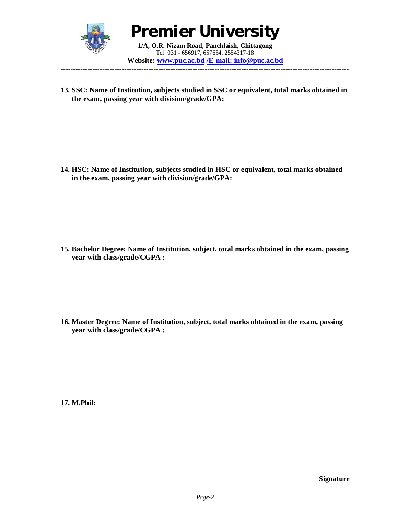

**Premier University 1/A, O.R. Nizam Road, Panchlaish, Chittagong** Tel: 031 - 656917, 657654, 2554317-18

**Website: www.puc.ac.bd /E-mail: info@puc.ac.bd** ----------------------------------------------------------------------------------------------------------------------

**13. SSC: Name of Institution, subjects studied in SSC or equivalent, total marks obtained in the exam, passing year with division/grade/GPA:** 

**14. HSC: Name of Institution, subjects studied in HSC or equivalent, total marks obtained in the exam, passing year with division/grade/GPA:**

**15. Bachelor Degree: Name of Institution, subject, total marks obtained in the exam, passing year with class/grade/CGPA :**

**16. Master Degree: Name of Institution, subject, total marks obtained in the exam, passing year with class/grade/CGPA :**

**17. M.Phil:**